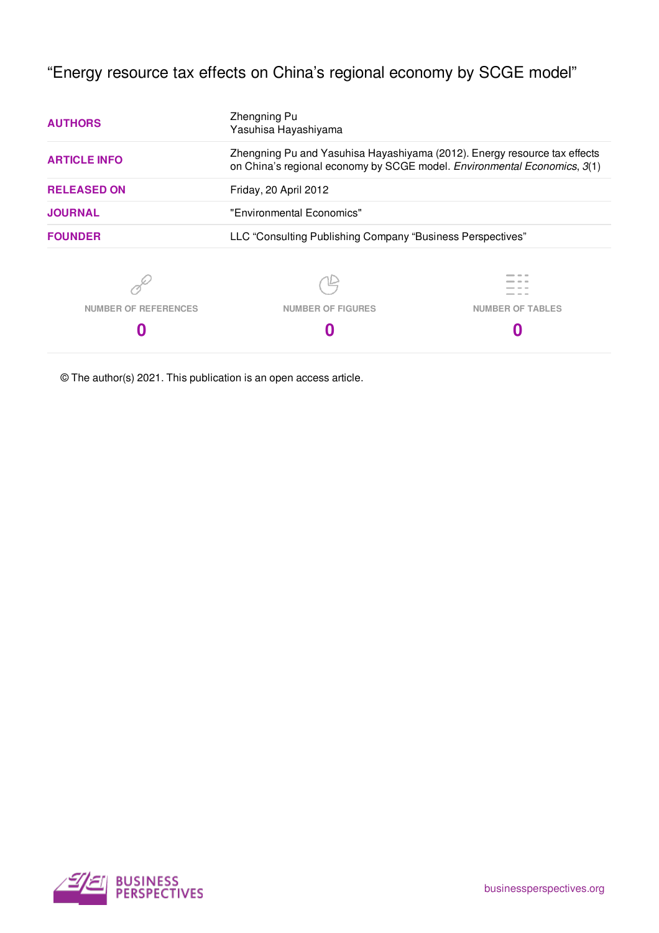"Energy resource tax effects on China's regional economy by SCGE model"

| <b>AUTHORS</b>                                                                                                                                                               | Zhengning Pu<br>Yasuhisa Hayashiyama                       |                         |  |  |
|------------------------------------------------------------------------------------------------------------------------------------------------------------------------------|------------------------------------------------------------|-------------------------|--|--|
| Zhengning Pu and Yasuhisa Hayashiyama (2012). Energy resource tax effects<br><b>ARTICLE INFO</b><br>on China's regional economy by SCGE model. Environmental Economics, 3(1) |                                                            |                         |  |  |
| <b>RELEASED ON</b>                                                                                                                                                           | Friday, 20 April 2012                                      |                         |  |  |
| <b>JOURNAL</b>                                                                                                                                                               | "Environmental Economics"                                  |                         |  |  |
| <b>FOUNDER</b>                                                                                                                                                               | LLC "Consulting Publishing Company "Business Perspectives" |                         |  |  |
|                                                                                                                                                                              |                                                            |                         |  |  |
| <b>NUMBER OF REFERENCES</b>                                                                                                                                                  | <b>NUMBER OF FIGURES</b>                                   | <b>NUMBER OF TABLES</b> |  |  |
|                                                                                                                                                                              |                                                            |                         |  |  |

© The author(s) 2021. This publication is an open access article.

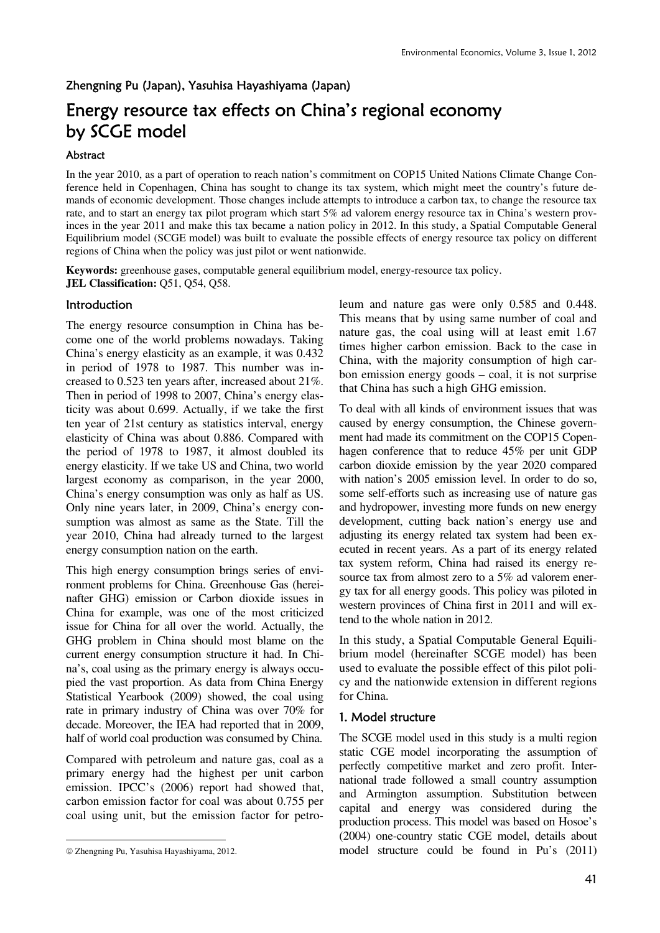# Zhengning Pu (Japan), Yasuhisa Hayashiyama (Japan)

# Energy resource tax effects on China's regional economy by SCGE model

# Abstract

In the year 2010, as a part of operation to reach nation's commitment on COP15 United Nations Climate Change Conference held in Copenhagen, China has sought to change its tax system, which might meet the country's future demands of economic development. Those changes include attempts to introduce a carbon tax, to change the resource tax rate, and to start an energy tax pilot program which start 5% ad valorem energy resource tax in China's western provinces in the year 2011 and make this tax became a nation policy in 2012. In this study, a Spatial Computable General Equilibrium model (SCGE model) was built to evaluate the possible effects of energy resource tax policy on different regions of China when the policy was just pilot or went nationwide.

**Keywords:** greenhouse gases, computable general equilibrium model, energy-resource tax policy. **JEL Classification:** Q51, Q54, Q58.

# **Introduction**

The energy resource consumption in China has become one of the world problems nowadays. Taking China's energy elasticity as an example, it was 0.432 in period of 1978 to 1987. This number was increased to 0.523 ten years after, increased about 21%. Then in period of 1998 to 2007, China's energy elasticity was about 0.699. Actually, if we take the first ten year of 21st century as statistics interval, energy elasticity of China was about 0.886. Compared with the period of 1978 to 1987, it almost doubled its energy elasticity. If we take US and China, two world largest economy as comparison, in the year 2000, China's energy consumption was only as half as US. Only nine years later, in 2009, China's energy consumption was almost as same as the State. Till the year 2010, China had already turned to the largest energy consumption nation on the earth.

This high energy consumption brings series of environment problems for China. Greenhouse Gas (hereinafter GHG) emission or Carbon dioxide issues in China for example, was one of the most criticized issue for China for all over the world. Actually, the GHG problem in China should most blame on the current energy consumption structure it had. In China's, coal using as the primary energy is always occupied the vast proportion. As data from China Energy Statistical Yearbook (2009) showed, the coal using rate in primary industry of China was over 70% for decade. Moreover, the IEA had reported that in 2009, half of world coal production was consumed by China.

Compared with petroleum and nature gas, coal as a primary energy had the highest per unit carbon emission. IPCC's (2006) report had showed that, carbon emission factor for coal was about 0.755 per coal using unit, but the emission factor for petro-

-

leum and nature gas were only 0.585 and 0.448. This means that by using same number of coal and nature gas, the coal using will at least emit 1.67 times higher carbon emission. Back to the case in China, with the majority consumption of high carbon emission energy goods – coal, it is not surprise that China has such a high GHG emission.

To deal with all kinds of environment issues that was caused by energy consumption, the Chinese government had made its commitment on the COP15 Copenhagen conference that to reduce 45% per unit GDP carbon dioxide emission by the year 2020 compared with nation's 2005 emission level. In order to do so, some self-efforts such as increasing use of nature gas and hydropower, investing more funds on new energy development, cutting back nation's energy use and adjusting its energy related tax system had been executed in recent years. As a part of its energy related tax system reform, China had raised its energy resource tax from almost zero to a 5% ad valorem energy tax for all energy goods. This policy was piloted in western provinces of China first in 2011 and will extend to the whole nation in 2012.

In this study, a Spatial Computable General Equilibrium model (hereinafter SCGE model) has been used to evaluate the possible effect of this pilot policy and the nationwide extension in different regions for China.

#### 1. Model structure

The SCGE model used in this study is a multi region static CGE model incorporating the assumption of perfectly competitive market and zero profit. International trade followed a small country assumption and Armington assumption. Substitution between capital and energy was considered during the production process. This model was based on Hosoe's (2004) one-country static CGE model, details about model structure could be found in Pu's (2011)

<sup>©</sup> Zhengning Pu, Yasuhisa Hayashiyama, 2012.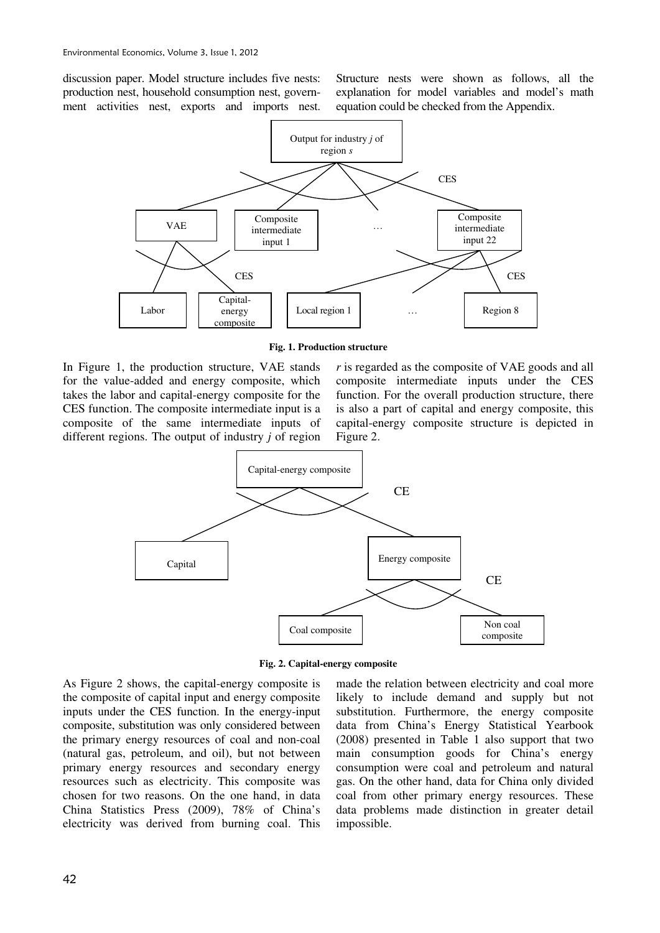discussion paper. Model structure includes five nests: production nest, household consumption nest, government activities nest, exports and imports nest.

Structure nests were shown as follows, all the explanation for model variables and model's math equation could be checked from the Appendix.



**Fig. 1. Production structure**

In Figure 1, the production structure, VAE stands for the value-added and energy composite, which takes the labor and capital-energy composite for the CES function. The composite intermediate input is a composite of the same intermediate inputs of different regions. The output of industry *j* of region

*r* is regarded as the composite of VAE goods and all composite intermediate inputs under the CES function. For the overall production structure, there is also a part of capital and energy composite, this capital-energy composite structure is depicted in Figure 2.



**Fig. 2. Capital-energy composite** 

As Figure 2 shows, the capital-energy composite is the composite of capital input and energy composite inputs under the CES function. In the energy-input composite, substitution was only considered between the primary energy resources of coal and non-coal (natural gas, petroleum, and oil), but not between primary energy resources and secondary energy resources such as electricity. This composite was chosen for two reasons. On the one hand, in data China Statistics Press (2009), 78% of China's electricity was derived from burning coal. This

made the relation between electricity and coal more likely to include demand and supply but not substitution. Furthermore, the energy composite data from China's Energy Statistical Yearbook (2008) presented in Table 1 also support that two main consumption goods for China's energy consumption were coal and petroleum and natural gas. On the other hand, data for China only divided coal from other primary energy resources. These data problems made distinction in greater detail impossible.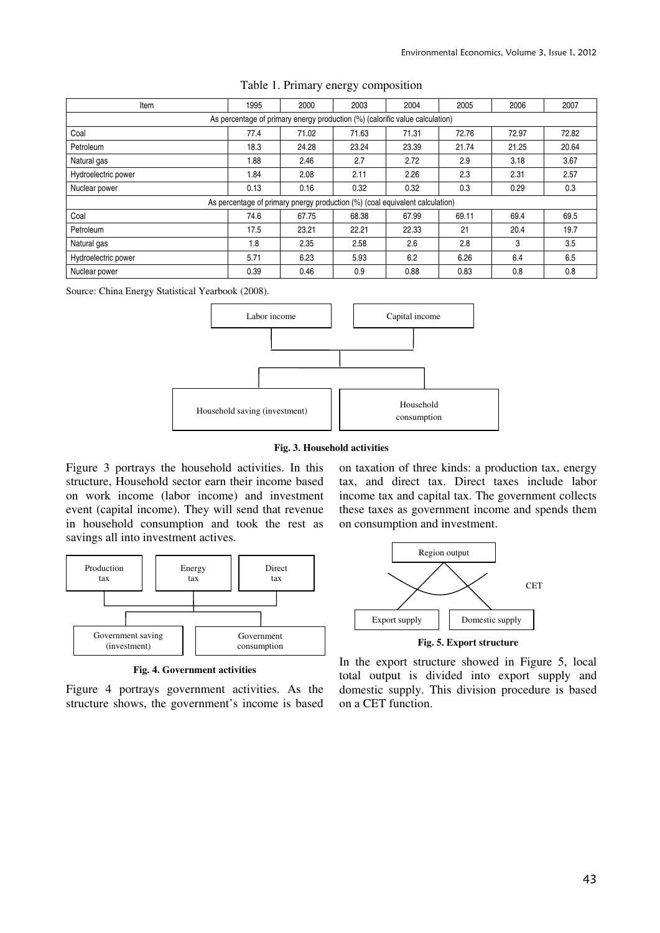| Item                | 1995                                                                         | 2000  | 2003                                                                         | 2004  | 2005  | 2006  | 2007  |  |
|---------------------|------------------------------------------------------------------------------|-------|------------------------------------------------------------------------------|-------|-------|-------|-------|--|
|                     | As percentage of primary energy production (%) (calorific value calculation) |       |                                                                              |       |       |       |       |  |
| Coal                | 77.4                                                                         | 71.02 | 71.63                                                                        | 71.31 | 72.76 | 72.97 | 72.82 |  |
| Petroleum           | 18.3                                                                         | 24.28 | 23.24                                                                        | 23.39 | 21.74 | 21.25 | 20.64 |  |
| Natural gas         | 1.88                                                                         | 2.46  | 2.7                                                                          | 2.72  | 2.9   | 3.18  | 3.67  |  |
| Hydroelectric power | 1.84                                                                         | 2.08  | 2.11                                                                         | 2.26  | 2.3   | 2.31  | 2.57  |  |
| Nuclear power       | 0.13                                                                         | 0.16  | 0.32                                                                         | 0.32  | 0.3   | 0.29  | 0.3   |  |
|                     |                                                                              |       | As percentage of primary pnergy production (%) (coal equivalent calculation) |       |       |       |       |  |
| Coal                | 74.6                                                                         | 67.75 | 68.38                                                                        | 67.99 | 69.11 | 69.4  | 69.5  |  |
| Petroleum           | 17.5                                                                         | 23.21 | 22.21                                                                        | 22.33 | 21    | 20.4  | 19.7  |  |
| Natural gas         | 1.8                                                                          | 2.35  | 2.58                                                                         | 2.6   | 2.8   | 3     | 3.5   |  |
| Hydroelectric power | 5.71                                                                         | 6.23  | 5.93                                                                         | 6.2   | 6.26  | 6.4   | 6.5   |  |
| Nuclear power       | 0.39                                                                         | 0.46  | 0.9                                                                          | 0.88  | 0.83  | 0.8   | 0.8   |  |

#### Table 1. Primary energy composition

Source: China Energy Statistical Yearbook (2008).



#### **Fig. 3. Household activities**

Figure 3 portrays the household activities. In this structure, Household sector earn their income based on work income (labor income) and investment event (capital income). They will send that revenue in household consumption and took the rest as savings all into investment actives.



**Fig. 4. Government activities**

Figure 4 portrays government activities. As the structure shows, the government's income is based on taxation of three kinds: a production tax, energy tax, and direct tax. Direct taxes include labor income tax and capital tax. The government collects these taxes as government income and spends them on consumption and investment.



**Fig. 5. Export structure** 

In the export structure showed in Figure 5, local total output is divided into export supply and domestic supply. This division procedure is based on a CET function.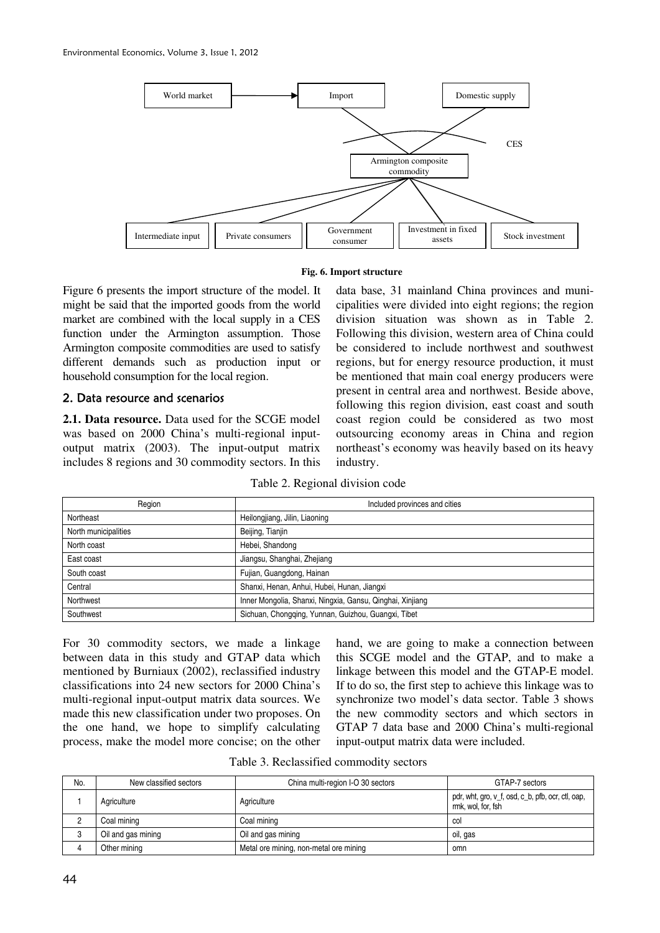

#### **Fig. 6. Import structure**

Figure 6 presents the import structure of the model. It might be said that the imported goods from the world market are combined with the local supply in a CES function under the Armington assumption. Those Armington composite commodities are used to satisfy different demands such as production input or household consumption for the local region.

# 2. Data resource and scenarios

**2.1. Data resource.** Data used for the SCGE model was based on 2000 China's multi-regional inputoutput matrix (2003). The input-output matrix includes 8 regions and 30 commodity sectors. In this data base, 31 mainland China provinces and municipalities were divided into eight regions; the region division situation was shown as in Table 2. Following this division, western area of China could be considered to include northwest and southwest regions, but for energy resource production, it must be mentioned that main coal energy producers were present in central area and northwest. Beside above, following this region division, east coast and south coast region could be considered as two most outsourcing economy areas in China and region northeast's economy was heavily based on its heavy industry.

| Region               | Included provinces and cities                             |
|----------------------|-----------------------------------------------------------|
| Northeast            | Heilongjiang, Jilin, Liaoning                             |
| North municipalities | Beijing, Tianjin                                          |
| North coast          | Hebei, Shandong                                           |
| East coast           | Jiangsu, Shanghai, Zhejiang                               |
| South coast          | Fujian, Guangdong, Hainan                                 |
| Central              | Shanxi, Henan, Anhui, Hubei, Hunan, Jiangxi               |
| Northwest            | Inner Mongolia, Shanxi, Ningxia, Gansu, Qinghai, Xinjiang |
| Southwest            | Sichuan, Chongqing, Yunnan, Guizhou, Guangxi, Tibet       |

For 30 commodity sectors, we made a linkage between data in this study and GTAP data which mentioned by Burniaux (2002), reclassified industry classifications into 24 new sectors for 2000 China's multi-regional input-output matrix data sources. We made this new classification under two proposes. On the one hand, we hope to simplify calculating process, make the model more concise; on the other

hand, we are going to make a connection between this SCGE model and the GTAP, and to make a linkage between this model and the GTAP-E model. If to do so, the first step to achieve this linkage was to synchronize two model's data sector. Table 3 shows the new commodity sectors and which sectors in GTAP 7 data base and 2000 China's multi-regional input-output matrix data were included.

| Table 3. Reclassified commodity sectors |  |
|-----------------------------------------|--|
|-----------------------------------------|--|

| No. | New classified sectors | China multi-region I-O 30 sectors      | GTAP-7 sectors                                                          |
|-----|------------------------|----------------------------------------|-------------------------------------------------------------------------|
|     | Agriculture            | Agriculture                            | pdr, wht, gro, v_f, osd, c_b, pfb, ocr, ctl, oap,<br>rmk, wol, for, fsh |
|     | Coal mining            | Coal mining                            | <sub>co</sub>                                                           |
| 3   | Oil and gas mining     | Oil and gas mining                     | oil, gas                                                                |
| 4   | Other mining           | Metal ore mining, non-metal ore mining | omn                                                                     |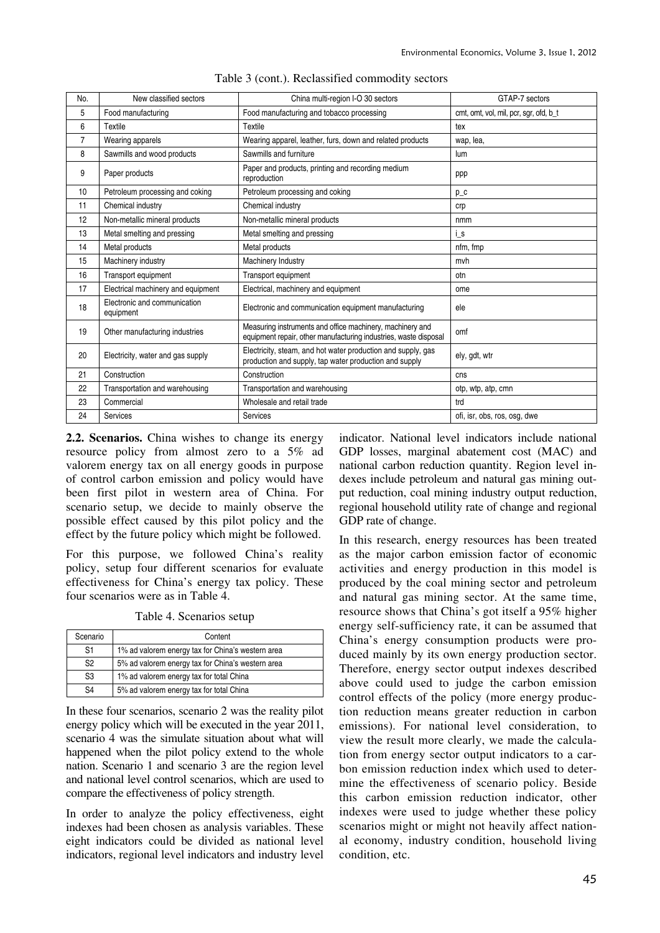| No. | New classified sectors                    | China multi-region I-O 30 sectors                                                                                             | GTAP-7 sectors                         |
|-----|-------------------------------------------|-------------------------------------------------------------------------------------------------------------------------------|----------------------------------------|
| 5   | Food manufacturing                        | Food manufacturing and tobacco processing                                                                                     | cmt, omt, vol, mil, pcr, sgr, ofd, b_t |
| 6   | Textile                                   | Textile                                                                                                                       | tex                                    |
| 7   | Wearing apparels                          | Wearing apparel, leather, furs, down and related products                                                                     | wap, lea,                              |
| 8   | Sawmills and wood products                | Sawmills and furniture                                                                                                        | lum                                    |
| 9   | Paper products                            | Paper and products, printing and recording medium<br>reproduction                                                             | ppp                                    |
| 10  | Petroleum processing and coking           | Petroleum processing and coking                                                                                               | $p_c$                                  |
| 11  | Chemical industry                         | Chemical industry                                                                                                             | crp                                    |
| 12  | Non-metallic mineral products             | Non-metallic mineral products                                                                                                 | nmm                                    |
| 13  | Metal smelting and pressing               | Metal smelting and pressing                                                                                                   | i_s                                    |
| 14  | Metal products                            | Metal products                                                                                                                | nfm. fmp                               |
| 15  | Machinery industry                        | Machinery Industry                                                                                                            | mvh                                    |
| 16  | Transport equipment                       | Transport equipment                                                                                                           | otn                                    |
| 17  | Electrical machinery and equipment        | Electrical, machinery and equipment                                                                                           | ome                                    |
| 18  | Electronic and communication<br>equipment | Electronic and communication equipment manufacturing                                                                          | ele                                    |
| 19  | Other manufacturing industries            | Measuring instruments and office machinery, machinery and<br>equipment repair, other manufacturing industries, waste disposal | omf                                    |
| 20  | Electricity, water and gas supply         | Electricity, steam, and hot water production and supply, gas<br>production and supply, tap water production and supply        | ely, gdt, wtr                          |
| 21  | Construction                              | Construction                                                                                                                  | cns                                    |
| 22  | Transportation and warehousing            | Transportation and warehousing                                                                                                | otp, wtp, atp, cmn                     |
| 23  | Commercial                                | Wholesale and retail trade                                                                                                    | trd                                    |
| 24  | Services                                  | <b>Services</b>                                                                                                               | ofi, isr, obs, ros, osg, dwe           |

|  | Table 3 (cont.). Reclassified commodity sectors |  |
|--|-------------------------------------------------|--|
|  |                                                 |  |

**2.2. Scenarios.** China wishes to change its energy resource policy from almost zero to a 5% ad valorem energy tax on all energy goods in purpose of control carbon emission and policy would have been first pilot in western area of China. For scenario setup, we decide to mainly observe the possible effect caused by this pilot policy and the effect by the future policy which might be followed.

For this purpose, we followed China's reality policy, setup four different scenarios for evaluate effectiveness for China's energy tax policy. These four scenarios were as in Table 4.

Table 4. Scenarios setup

| Scenario       | Content                                           |
|----------------|---------------------------------------------------|
| S <sub>1</sub> | 1% ad valorem energy tax for China's western area |
| S <sub>2</sub> | 5% ad valorem energy tax for China's western area |
| S <sub>3</sub> | 1% ad valorem energy tax for total China          |
| S <sub>4</sub> | 5% ad valorem energy tax for total China          |

In these four scenarios, scenario 2 was the reality pilot energy policy which will be executed in the year 2011, scenario 4 was the simulate situation about what will happened when the pilot policy extend to the whole nation. Scenario 1 and scenario 3 are the region level and national level control scenarios, which are used to compare the effectiveness of policy strength.

In order to analyze the policy effectiveness, eight indexes had been chosen as analysis variables. These eight indicators could be divided as national level indicators, regional level indicators and industry level indicator. National level indicators include national GDP losses, marginal abatement cost (MAC) and national carbon reduction quantity. Region level indexes include petroleum and natural gas mining output reduction, coal mining industry output reduction, regional household utility rate of change and regional GDP rate of change.

In this research, energy resources has been treated as the major carbon emission factor of economic activities and energy production in this model is produced by the coal mining sector and petroleum and natural gas mining sector. At the same time, resource shows that China's got itself a 95% higher energy self-sufficiency rate, it can be assumed that China's energy consumption products were produced mainly by its own energy production sector. Therefore, energy sector output indexes described above could used to judge the carbon emission control effects of the policy (more energy production reduction means greater reduction in carbon emissions). For national level consideration, to view the result more clearly, we made the calculation from energy sector output indicators to a carbon emission reduction index which used to determine the effectiveness of scenario policy. Beside this carbon emission reduction indicator, other indexes were used to judge whether these policy scenarios might or might not heavily affect national economy, industry condition, household living condition, etc.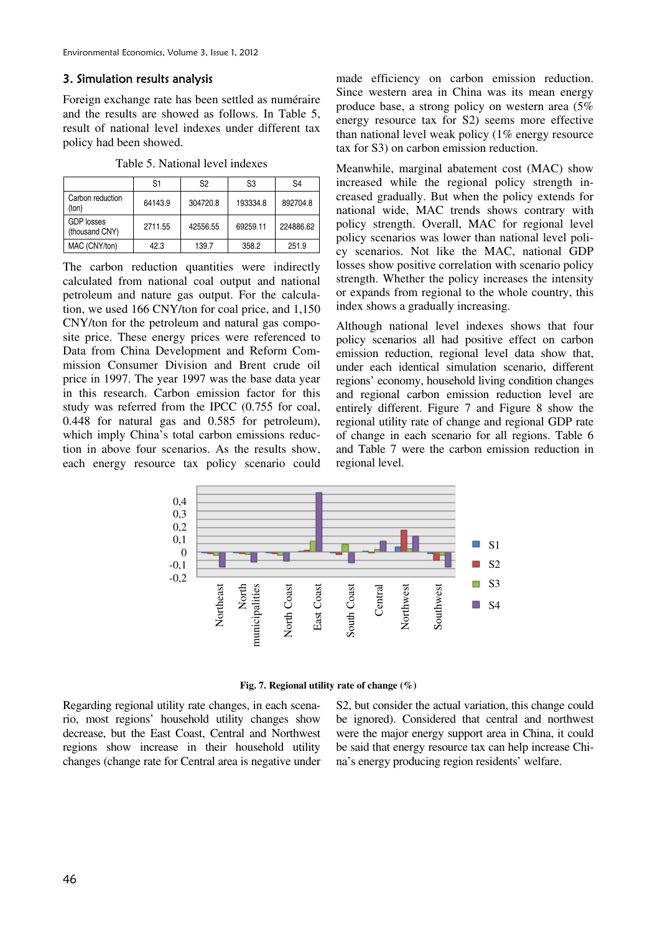# 3. Simulation results analysis

Foreign exchange rate has been settled as numéraire and the results are showed as follows. In Table 5, result of national level indexes under different tax policy had been showed.

Table 5. National level indexes

|                                     | S1      | S <sub>2</sub> | S <sub>3</sub> | S <sub>4</sub> |
|-------------------------------------|---------|----------------|----------------|----------------|
| Carbon reduction<br>(ton)           | 64143.9 | 304720.8       | 193334.8       | 892704.8       |
| <b>GDP</b> losses<br>(thousand CNY) | 2711.55 | 42556.55       | 69259.11       | 224886.62      |
| MAC (CNY/ton)                       | 42.3    | 139.7          | 358.2          | 251.9          |

The carbon reduction quantities were indirectly calculated from national coal output and national petroleum and nature gas output. For the calculation, we used 166 CNY/ton for coal price, and 1,150 CNY/ton for the petroleum and natural gas composite price. These energy prices were referenced to Data from China Development and Reform Commission Consumer Division and Brent crude oil price in 1997. The year 1997 was the base data year in this research. Carbon emission factor for this study was referred from the IPCC (0.755 for coal, 0.448 for natural gas and 0.585 for petroleum), which imply China's total carbon emissions reduction in above four scenarios. As the results show, each energy resource tax policy scenario could made efficiency on carbon emission reduction. Since western area in China was its mean energy produce base, a strong policy on western area (5% energy resource tax for S2) seems more effective than national level weak policy (1% energy resource tax for S3) on carbon emission reduction.

Meanwhile, marginal abatement cost (MAC) show increased while the regional policy strength increased gradually. But when the policy extends for national wide, MAC trends shows contrary with policy strength. Overall, MAC for regional level policy scenarios was lower than national level policy scenarios. Not like the MAC, national GDP losses show positive correlation with scenario policy strength. Whether the policy increases the intensity or expands from regional to the whole country, this index shows a gradually increasing.

Although national level indexes shows that four policy scenarios all had positive effect on carbon emission reduction, regional level data show that, under each identical simulation scenario, different regions' economy, household living condition changes and regional carbon emission reduction level are entirely different. Figure 7 and Figure 8 show the regional utility rate of change and regional GDP rate of change in each scenario for all regions. Table 6 and Table 7 were the carbon emission reduction in regional level.



**Fig. 7. Regional utility rate of change (%)** 

Regarding regional utility rate changes, in each scenario, most regions' household utility changes show decrease, but the East Coast, Central and Northwest regions show increase in their household utility changes (change rate for Central area is negative under

S2, but consider the actual variation, this change could be ignored). Considered that central and northwest were the major energy support area in China, it could be said that energy resource tax can help increase China's energy producing region residents' welfare.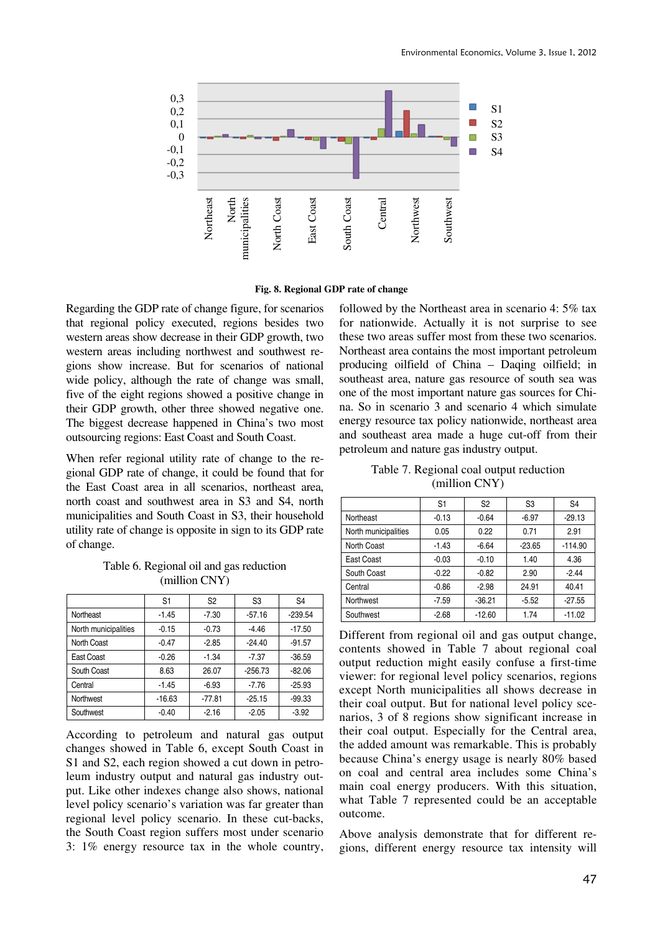

**Fig. 8. Regional GDP rate of change** 

Regarding the GDP rate of change figure, for scenarios that regional policy executed, regions besides two western areas show decrease in their GDP growth, two western areas including northwest and southwest regions show increase. But for scenarios of national wide policy, although the rate of change was small, five of the eight regions showed a positive change in their GDP growth, other three showed negative one. The biggest decrease happened in China's two most outsourcing regions: East Coast and South Coast.

When refer regional utility rate of change to the regional GDP rate of change, it could be found that for the East Coast area in all scenarios, northeast area, north coast and southwest area in S3 and S4, north municipalities and South Coast in S3, their household utility rate of change is opposite in sign to its GDP rate of change.

Table 6. Regional oil and gas reduction (million CNY)

|                      | S <sub>1</sub> | S <sub>2</sub> | S <sub>3</sub> | S <sub>4</sub> |
|----------------------|----------------|----------------|----------------|----------------|
| Northeast            | $-1.45$        | $-7.30$        | $-57.16$       | $-239.54$      |
| North municipalities | $-0.15$        | $-0.73$        | $-4.46$        | $-17.50$       |
| North Coast          | $-0.47$        | $-2.85$        | $-24.40$       | $-91.57$       |
| East Coast           | $-0.26$        | $-1.34$        | $-7.37$        | $-36.59$       |
| South Coast          | 8.63           | 26.07          | $-256.73$      | $-82.06$       |
| Central              | $-1.45$        | $-6.93$        | $-7.76$        | $-25.93$       |
| Northwest            | $-16.63$       | $-77.81$       | $-25.15$       | $-99.33$       |
| Southwest            | $-0.40$        | $-2.16$        | $-2.05$        | $-3.92$        |

According to petroleum and natural gas output changes showed in Table 6, except South Coast in S1 and S2, each region showed a cut down in petroleum industry output and natural gas industry output. Like other indexes change also shows, national level policy scenario's variation was far greater than regional level policy scenario. In these cut-backs, the South Coast region suffers most under scenario 3: 1% energy resource tax in the whole country,

followed by the Northeast area in scenario 4: 5% tax for nationwide. Actually it is not surprise to see these two areas suffer most from these two scenarios. Northeast area contains the most important petroleum producing oilfield of China – Daqing oilfield; in southeast area, nature gas resource of south sea was one of the most important nature gas sources for China. So in scenario 3 and scenario 4 which simulate energy resource tax policy nationwide, northeast area and southeast area made a huge cut-off from their petroleum and nature gas industry output.

Table 7. Regional coal output reduction (million CNY)

|                      | S1      | S <sub>2</sub> | S3       | S <sub>4</sub> |
|----------------------|---------|----------------|----------|----------------|
| Northeast            | $-0.13$ | $-0.64$        | $-6.97$  | $-29.13$       |
| North municipalities | 0.05    | 0.22           | 0.71     | 2.91           |
| <b>North Coast</b>   | $-1.43$ | $-6.64$        | $-23.65$ | $-114.90$      |
| East Coast           | $-0.03$ | $-0.10$        | 1.40     | 4.36           |
| South Coast          | $-0.22$ | $-0.82$        | 2.90     | $-2.44$        |
| Central              | $-0.86$ | $-2.98$        | 24.91    | 40.41          |
| Northwest            | $-7.59$ | $-36.21$       | $-5.52$  | $-27.55$       |
| Southwest            | $-2.68$ | $-12.60$       | 1.74     | $-11.02$       |

Different from regional oil and gas output change, contents showed in Table 7 about regional coal output reduction might easily confuse a first-time viewer: for regional level policy scenarios, regions except North municipalities all shows decrease in their coal output. But for national level policy scenarios, 3 of 8 regions show significant increase in their coal output. Especially for the Central area, the added amount was remarkable. This is probably because China's energy usage is nearly 80% based on coal and central area includes some China's main coal energy producers. With this situation, what Table 7 represented could be an acceptable outcome.

Above analysis demonstrate that for different regions, different energy resource tax intensity will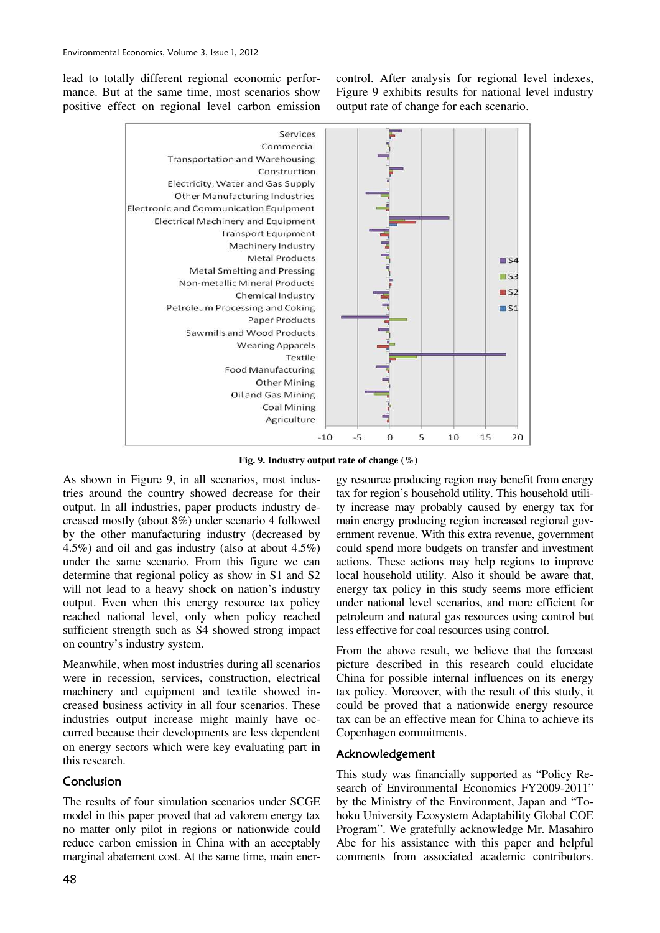lead to totally different regional economic performance. But at the same time, most scenarios show positive effect on regional level carbon emission control. After analysis for regional level indexes, Figure 9 exhibits results for national level industry output rate of change for each scenario.



**Fig. 9. Industry output rate of change (%)** 

As shown in Figure 9, in all scenarios, most industries around the country showed decrease for their output. In all industries, paper products industry decreased mostly (about 8%) under scenario 4 followed by the other manufacturing industry (decreased by 4.5%) and oil and gas industry (also at about 4.5%) under the same scenario. From this figure we can determine that regional policy as show in S1 and S2 will not lead to a heavy shock on nation's industry output. Even when this energy resource tax policy reached national level, only when policy reached sufficient strength such as S4 showed strong impact on country's industry system.

Meanwhile, when most industries during all scenarios were in recession, services, construction, electrical machinery and equipment and textile showed increased business activity in all four scenarios. These industries output increase might mainly have occurred because their developments are less dependent on energy sectors which were key evaluating part in this research.

# Conclusion

The results of four simulation scenarios under SCGE model in this paper proved that ad valorem energy tax no matter only pilot in regions or nationwide could reduce carbon emission in China with an acceptably marginal abatement cost. At the same time, main ener-

China for possible internal influences on its energy tax policy. Moreover, with the result of this study, it could be proved that a nationwide energy resource tax can be an effective mean for China to achieve its Copenhagen commitments. Acknowledgement

This study was financially supported as "Policy Research of Environmental Economics FY2009-2011" by the Ministry of the Environment, Japan and "Tohoku University Ecosystem Adaptability Global COE Program". We gratefully acknowledge Mr. Masahiro Abe for his assistance with this paper and helpful comments from associated academic contributors.

gy resource producing region may benefit from energy tax for region's household utility. This household utility increase may probably caused by energy tax for main energy producing region increased regional government revenue. With this extra revenue, government could spend more budgets on transfer and investment actions. These actions may help regions to improve local household utility. Also it should be aware that, energy tax policy in this study seems more efficient under national level scenarios, and more efficient for petroleum and natural gas resources using control but

less effective for coal resources using control.

From the above result, we believe that the forecast picture described in this research could elucidate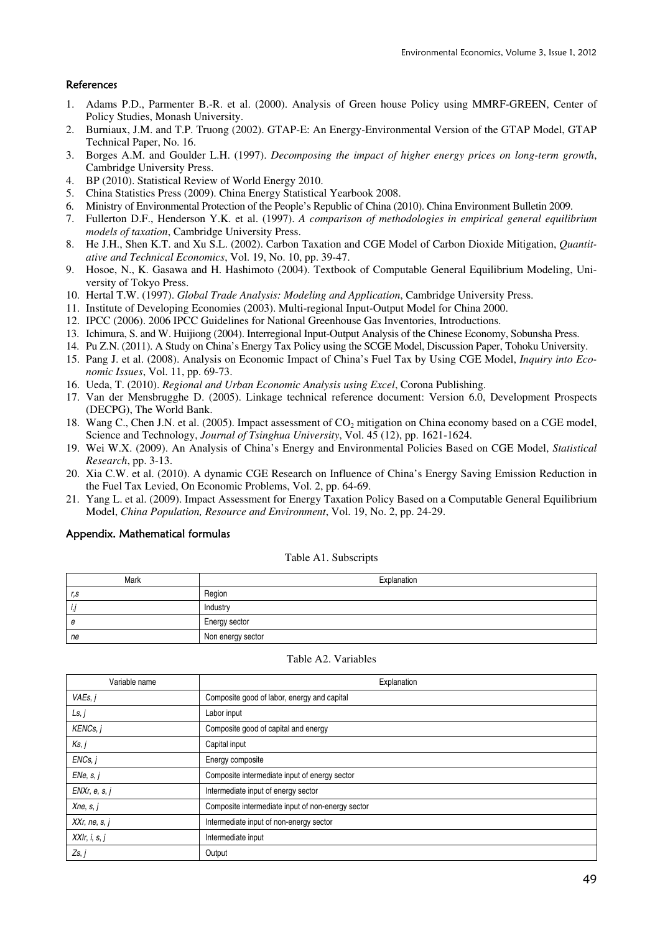# References

- 1. Adams P.D., Parmenter B.-R. et al. (2000). Analysis of Green house Policy using MMRF-GREEN, Center of Policy Studies, Monash University.
- 2. Burniaux, J.M. and T.P. Truong (2002). GTAP-E: An Energy-Environmental Version of the GTAP Model, GTAP Technical Paper, No. 16.
- 3. Borges A.M. and Goulder L.H. (1997). *Decomposing the impact of higher energy prices on long-term growth*, Cambridge University Press.
- 4. BP (2010). Statistical Review of World Energy 2010.
- 5. China Statistics Press (2009). China Energy Statistical Yearbook 2008.
- 6. Ministry of Environmental Protection of the People's Republic of China (2010). China Environment Bulletin 2009.
- 7. Fullerton D.F., Henderson Y.K. et al. (1997). *A comparison of methodologies in empirical general equilibrium models of taxation*, Cambridge University Press.
- 8. He J.H., Shen K.T. and Xu S.L. (2002). Carbon Taxation and CGE Model of Carbon Dioxide Mitigation, *Quantitative and Technical Economics*, Vol. 19, No. 10, pp. 39-47.
- 9. Hosoe, N., K. Gasawa and H. Hashimoto (2004). Textbook of Computable General Equilibrium Modeling, University of Tokyo Press.
- 10. Hertal T.W. (1997). *Global Trade Analysis: Modeling and Application*, Cambridge University Press.
- 11. Institute of Developing Economies (2003). Multi-regional Input-Output Model for China 2000.
- 12. IPCC (2006). 2006 IPCC Guidelines for National Greenhouse Gas Inventories, Introductions.
- 13. Ichimura, S. and W. Huijiong (2004). Interregional Input-Output Analysis of the Chinese Economy, Sobunsha Press.
- 14. Pu Z.N. (2011). A Study on China's Energy Tax Policy using the SCGE Model, Discussion Paper, Tohoku University.
- 15. Pang J. et al. (2008). Analysis on Economic Impact of China's Fuel Tax by Using CGE Model, *Inquiry into Economic Issues*, Vol. 11, pp. 69-73.
- 16. Ueda, T. (2010). *Regional and Urban Economic Analysis using Excel*, Corona Publishing.
- 17. Van der Mensbrugghe D. (2005). Linkage technical reference document: Version 6.0, Development Prospects (DECPG), The World Bank.
- 18. Wang C., Chen J.N. et al. (2005). Impact assessment of CO<sub>2</sub> mitigation on China economy based on a CGE model, Science and Technology, *Journal of Tsinghua University*, Vol. 45 (12), pp. 1621-1624.
- 19. Wei W.X. (2009). An Analysis of China's Energy and Environmental Policies Based on CGE Model, *Statistical Research*, pp. 3-13.
- 20. Xia C.W. et al. (2010). A dynamic CGE Research on Influence of China's Energy Saving Emission Reduction in the Fuel Tax Levied, On Economic Problems, Vol. 2, pp. 64-69.
- 21. Yang L. et al. (2009). Impact Assessment for Energy Taxation Policy Based on a Computable General Equilibrium Model, *China Population, Resource and Environment*, Vol. 19, No. 2, pp. 24-29.

#### Appendix. Mathematical formulas

#### Table A1. Subscripts

| Mark | Explanation       |
|------|-------------------|
| r, s | Region            |
| ı,   | Industry          |
| е    | Energy sector     |
| ne   | Non energy sector |

#### Table A2. Variables

| Variable name    | Explanation                                       |
|------------------|---------------------------------------------------|
| VAEs, i          | Composite good of labor, energy and capital       |
| Ls, j            | Labor input                                       |
| KENCs, j         | Composite good of capital and energy              |
| Ks, j            | Capital input                                     |
| ENCs, i          | Energy composite                                  |
| ENe, s, i        | Composite intermediate input of energy sector     |
| ENXr, e, s, j    | Intermediate input of energy sector               |
| Xne, s, j        | Composite intermediate input of non-energy sector |
| $XXr$ , ne, s, j | Intermediate input of non-energy sector           |
| XXIr, i, s, j    | Intermediate input                                |
| Zs, j            | Output                                            |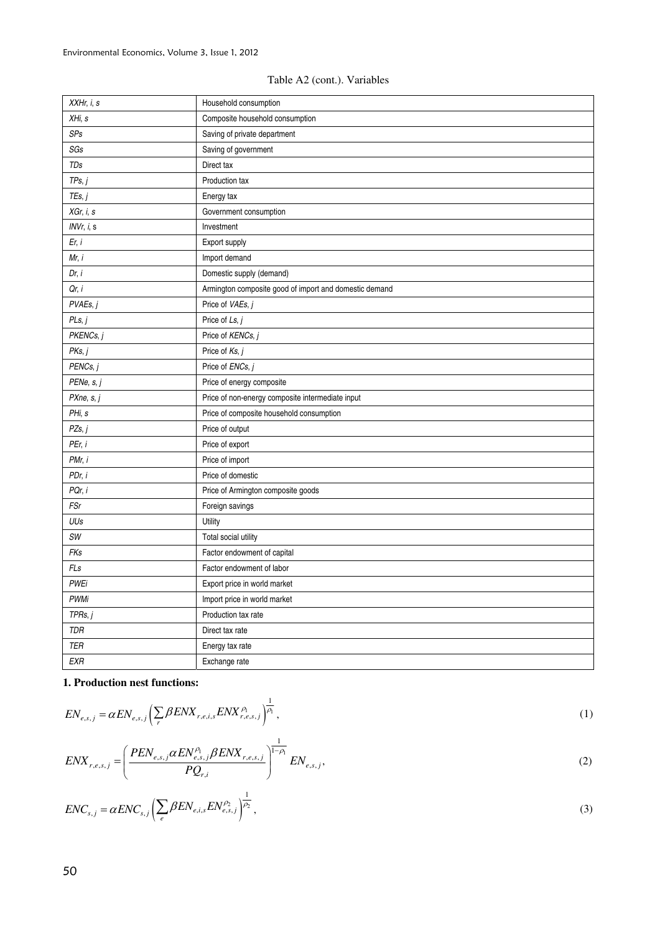| XXHr, i, s  | Household consumption                                  |
|-------------|--------------------------------------------------------|
| XHi, s      | Composite household consumption                        |
| SPs         | Saving of private department                           |
| SGs         | Saving of government                                   |
| TDs         | Direct tax                                             |
| TPs, j      | Production tax                                         |
| TEs, j      | Energy tax                                             |
| XGr, i, s   | Government consumption                                 |
| INVr, i, s  | Investment                                             |
| Er, i       | Export supply                                          |
| Mr, i       | Import demand                                          |
| Dr, i       | Domestic supply (demand)                               |
| Qr, i       | Armington composite good of import and domestic demand |
| PVAEs, j    | Price of VAEs, j                                       |
| PLs, j      | Price of Ls, j                                         |
| PKENCs, j   | Price of KENCs, j                                      |
| PKs, j      | Price of Ks, j                                         |
| PENCs, j    | Price of ENCs, j                                       |
| PENe, s, j  | Price of energy composite                              |
| PXne, s, j  | Price of non-energy composite intermediate input       |
| PHi, s      | Price of composite household consumption               |
| PZs, j      | Price of output                                        |
| PEr, i      | Price of export                                        |
| PMr, i      | Price of import                                        |
| PDr, i      | Price of domestic                                      |
| PQr, i      | Price of Armington composite goods                     |
| FSr         | Foreign savings                                        |
| UUs         | Utility                                                |
| SW          | Total social utility                                   |
| FKs         | Factor endowment of capital                            |
| FLs         | Factor endowment of labor                              |
| <b>PWEi</b> | Export price in world market                           |
| <b>PWMi</b> | Import price in world market                           |
| TPRs, j     | Production tax rate                                    |
| TDR         | Direct tax rate                                        |
| TER         | Energy tax rate                                        |
| <b>EXR</b>  | Exchange rate                                          |

# **1. Production nest functions:**

$$
EN_{e,s,j} = \alpha EN_{e,s,j} \left( \sum_{r} \beta ENX_{r,e,i,s} ENX_{r,e,s,j}^{\rho_1} \right)^{\frac{1}{\rho_1}}, \tag{1}
$$

$$
ENX_{r,e,s,j} = \left(\frac{PEN_{e,s,j}\alpha EN_{e,s,j}^{\rho}\beta ENX_{r,e,s,j}}{PQ_{r,i}}\right)^{\frac{1}{1-\rho_{1}}} EN_{e,s,j},\tag{2}
$$

$$
ENC_{s,j} = \alpha ENC_{s,j} \left( \sum_{e} \beta EN_{e,i,s} EN_{e,s,j}^{\rho_2} \right)^{\frac{1}{\rho_2}},
$$
\n(3)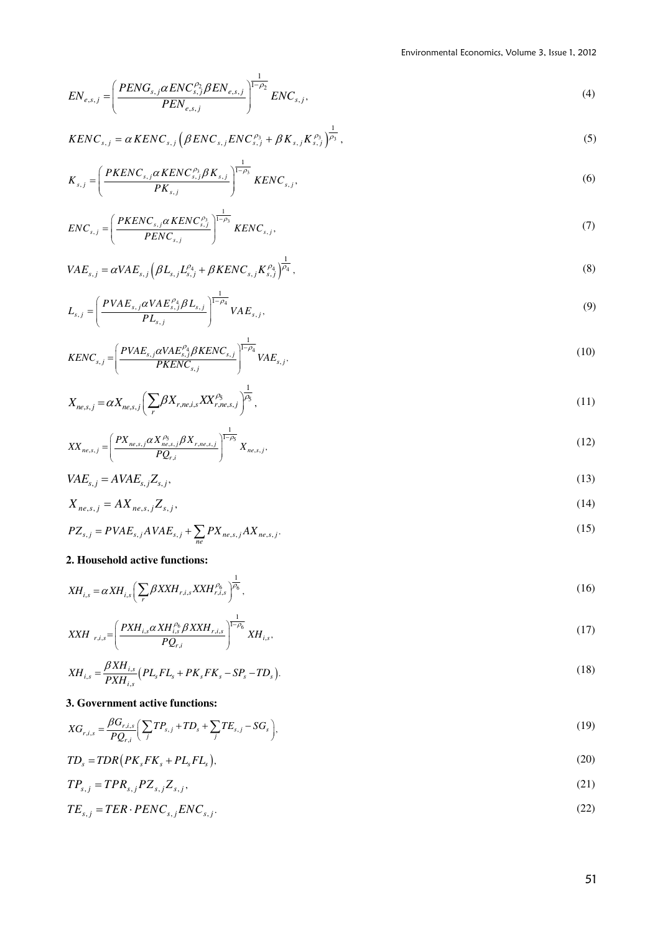$$
EN_{e,s,j} = \left(\frac{PENG_{s,j}\alpha ENC_{s,j}^{p_2}\beta EN_{e,s,j}}{PEN_{e,s,j}}\right)^{\frac{1}{1-\rho_2}}ENC_{s,j},\tag{4}
$$

$$
KENC_{s,j} = \alpha KENC_{s,j} \left(\beta ENC_{s,j} ENC_{s,j}^{p_3} + \beta K_{s,j} K_{s,j}^{p_3}\right)^{\frac{1}{p_3}},
$$
\n(5)

$$
K_{s,j} = \left(\frac{PKENC_{s,j}\alpha KENC_{s,j}^{\rho_3}\beta K_{s,j}}{PK_{s,j}}\right)^{\frac{1}{1-\rho_3}} KENC_{s,j},\tag{6}
$$

$$
ENC_{s,j} = \left(\frac{PKENC_{s,j}\alpha KENC_{s,j}^{P_3}}{PENC_{s,j}}\right)^{\frac{1}{1-\rho_3}} KENC_{s,j},\tag{7}
$$

$$
VAE_{s,j} = \alpha VAE_{s,j} \left( \beta L_{s,j} L_{s,j}^{a_4} + \beta KENC_{s,j} K_{s,j}^{a_4} \right)^{\frac{1}{a_4}},
$$
\n(8)

$$
L_{s,j} = \left(\frac{PVAE_{s,j}\alpha VAE_{s,j}^{\rho_4}\beta L_{s,j}}{PL_{s,j}}\right)^{\frac{1}{1-\rho_4}} VAE_{s,j},\tag{9}
$$

$$
KENC_{s,j} = \left(\frac{PVAE_{s,j}\alpha VAE_{s,j}^{\rho_4}\beta KENC_{s,j}}{PKENC_{s,j}}\right)^{\frac{1}{1-\rho_4}} VAE_{s,j},\tag{10}
$$

$$
X_{ne,s,j} = \alpha X_{ne,s,j} \left( \sum_{r} \beta X_{r,ne,i,s} X X_{r,ne,s,j}^{\rho_{5}} \right)^{\frac{1}{\rho_{5}}},\tag{11}
$$

$$
XX_{ne,s,j} = \left(\frac{PX_{ne,s,j}\alpha X_{ne,s,j}^{\rho_{5}}\beta X_{r,ne,s,j}}{PQ_{r,i}}\right)^{\frac{1}{1-\rho_{5}}}X_{ne,s,j},
$$
\n(12)

$$
VAE_{s,j} = AVAE_{s,j}Z_{s,j},\tag{13}
$$

$$
X_{ne,s,j} = AX_{ne,s,j}Z_{s,j},\tag{14}
$$

$$
PZ_{s,j} = PVAE_{s,j}AVAE_{s,j} + \sum_{ne} PX_{ne,s,j}AX_{ne,s,j}.
$$
\n(15)

# **2. Household active functions:**

$$
XH_{i,s} = \alpha XH_{i,s} \left( \sum_{r} \beta X X H_{r,i,s} X X H_{r,i,s}^{\rho_6} \right)^{\frac{1}{\rho_6}},\tag{16}
$$

$$
XXH_{r,i,s} = \left(\frac{PXH_{i,s}\alpha XH_{i,s}^{\rho_{6}}\beta XXH_{r,i,s}}{PQ_{r,i}}\right)^{\frac{1}{1-\rho_{6}}}XH_{i,s},
$$
\n(17)

$$
XH_{i,s} = \frac{\beta X H_{i,s}}{P X H_{i,s}} \left( PL_s FL_s + PK_s FK_s - SP_s - TD_s \right).
$$
\n(18)

# **3. Government active functions:**

$$
XG_{r,i,s} = \frac{\beta G_{r,i,s}}{PQ_{r,i}} \left( \sum_{j} T P_{s,j} + T D_s + \sum_{j} T E_{s,j} - S G_s \right),
$$
\n(19)

$$
TD_s = TDR(PK_sFK_s + PL_sFL_s),
$$
\n(20)

$$
TP_{s,j} = TPR_{s,j}PZ_{s,j}Z_{s,j},\tag{21}
$$

$$
TE_{s,j} = TER \cdot PENC_{s,j}ENC_{s,j}.\tag{22}
$$